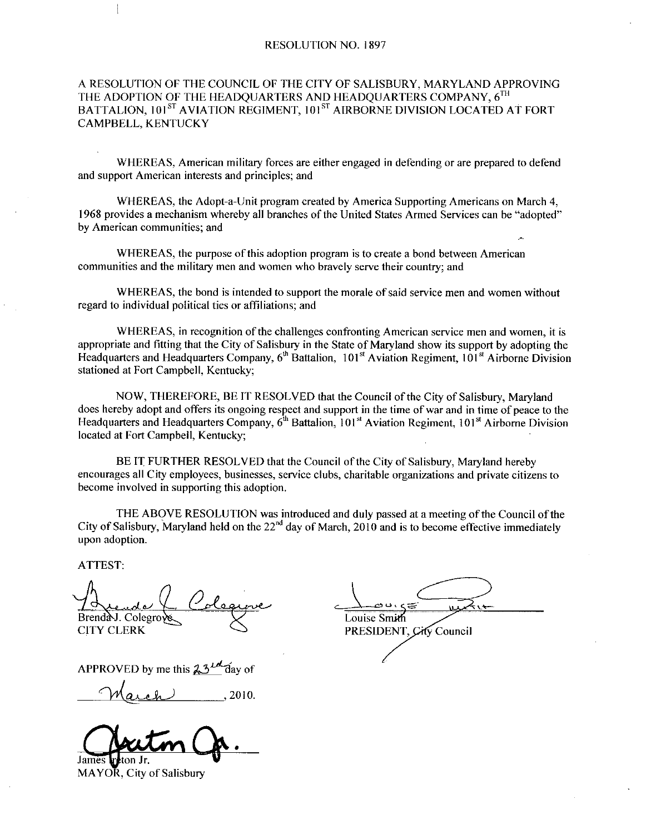### RESOLUTION NO. 1897

## A RESOLUTION OF THE COUNCIL OF THE CITY OF SALISBURY, MARYLAND APPROVING THE ADOPTION OF THE HEADQUARTERS AND HEADQUARTERS COMPANY,  $6^{TH}$ BATTALION, 101<sup>ST</sup> AVIATION REGIMENT, 101<sup>ST</sup> AIRBORNE DIVISION LOCATED AT FORT CAMPBELL KENTUCKY

WHEREAS, American military forces are either engaged in defending or are prepared to defend and support American interests and principles: and

WHEREAS, American military forces are either engaged in defending or are prepared to defend<br>port American interests and principles; and<br>WHEREAS, the Adopt-a-Unit program created by America Supporting Americans on March 4,<br> 1968 provides a mechanism whereby all branches of the United States Armed Services can be "adopted" by American communities; and

WHEREAS, the purpose of this adoption program is to create a bond between American communities and the military men and women who bravely serve their country; and

WHEREAS, the bond is intended to support the morale of said service men and women without regard to individual political ties or affiliations; and

WHEREAS, in recognition of the challenges confronting American service men and women, it is appropriate and fitting that the City of Salisbury in the State of Maryland show its support by adopting the Headquarters and Headquarters Company,  $6<sup>th</sup>$  Battalion, 101<sup>st</sup> Aviation Regiment, 101<sup>st</sup> Airborne Division stationed at Fort Campbell, Kentucky;

NOW, THEREFORE, BE IT RESOLVED that the Council of the City of Salisbury, Maryland does hereby adopt and offers its ongoing respect and support in the time of war and in time of peace to the Headquarters and Headquarters Company, 6<sup>th</sup> Battalion, 101<sup>st</sup> Aviation Regiment, 101<sup>st</sup> Airborne Division located at Fort Campbell, Kentucky;

BE IT FURTHER RESOLVED that the Council of the City of Salisbury, Maryland hereby encourages all City employees, businesses, service clubs, charitable organizations and private citizens to become involved in supporting this adoption.

THE ABOVE RESOLUTION was introduced and duly passed at a meeting of the Council of the City of Salisbury, Maryland held on the  $22<sup>nd</sup>$  day of March, 2010 and is to become effective immediately upon adoption

ATTEST

 $\mathbf{1}$ 

Brend A. Colegro Louise Smith<br>CITY CLERK PRESIDENT

PRESIDENT, City Council

APPROVED by me this  $23^{10}$  day of

 $\mu$ , 2010

James **J** 

MAYOR, City of Salisbury